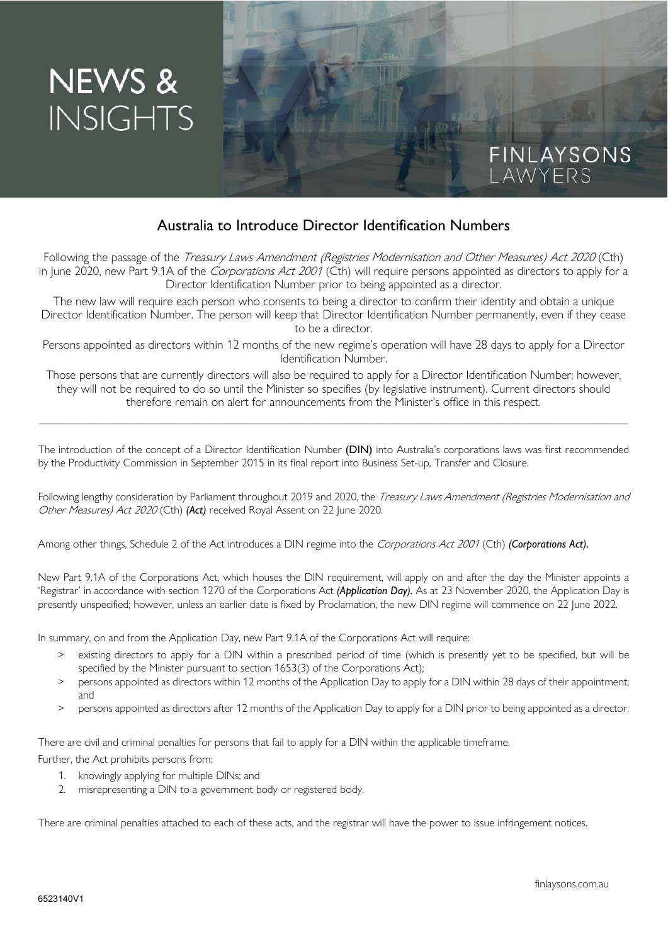# NEWS & **INSIGHTS**

# Australia to Introduce Director Identification Numbers

Following the passage of the *Treasury Laws Amendment (Registries Modernisation and Other Measures) Act 2020* (Cth) in June 2020, new Part 9.1A of the *Corporations Act 2001* (Cth) will require persons appointed as directors to apply for a Director Identification Number prior to being appointed as a director.

The new law will require each person who consents to being a director to confirm their identity and obtain a unique Director Identification Number. The person will keep that Director Identification Number permanently, even if they cease to be a director.

Persons appointed as directors within 12 months of the new regime's operation will have 28 days to apply for a Director Identification Number.

Those persons that are currently directors will also be required to apply for a Director Identification Number; however, they will not be required to do so until the Minister so specifies (by legislative instrument). Current directors should therefore remain on alert for announcements from the Minister's office in this respect.

\_\_\_\_\_\_\_\_\_\_\_\_\_\_\_\_\_\_\_\_\_\_\_\_\_\_\_\_\_\_\_\_\_\_\_\_\_\_\_\_\_\_\_\_\_\_\_\_\_\_\_\_\_\_\_\_\_\_\_\_\_\_\_\_\_\_\_\_\_\_\_\_\_\_\_\_\_\_\_\_\_\_\_\_\_\_\_\_\_\_\_\_\_\_\_\_\_\_\_\_\_\_\_\_\_

The introduction of the concept of a Director Identification Number (DIN) into Australia's corporations laws was first recommended by the Productivity Commission in September 2015 in its final report into Business Set-up, Transfer and Closure.

Following lengthy consideration by Parliament throughout 2019 and 2020, the Treasury Laws Amendment (Registries Modernisation and Other Measures) Act 2020 (Cth) *(Act)* received Royal Assent on 22 June 2020.

Among other things, Schedule 2 of the Act introduces a DIN regime into the Corporations Act 2001 (Cth) *(Corporations Act).*

New Part 9.1A of the Corporations Act, which houses the DIN requirement, will apply on and after the day the Minister appoints a 'Registrar' in accordance with section 1270 of the Corporations Act *(Application Day).* As at 23 November 2020, the Application Day is presently unspecified; however, unless an earlier date is fixed by Proclamation, the new DIN regime will commence on 22 June 2022.

In summary, on and from the Application Day, new Part 9.1A of the Corporations Act will require:

- existing directors to apply for a DIN within a prescribed period of time (which is presently yet to be specified, but will be specified by the Minister pursuant to section 1653(3) of the Corporations Act);
- > persons appointed as directors within 12 months of the Application Day to apply for a DIN within 28 days of their appointment; and
- > persons appointed as directors after 12 months of the Application Day to apply for a DIN prior to being appointed as a director.

There are civil and criminal penalties for persons that fail to apply for a DIN within the applicable timeframe.

Further, the Act prohibits persons from:

- 1. knowingly applying for multiple DINs; and
- 2. misrepresenting a DIN to a government body or registered body.

There are criminal penalties attached to each of these acts, and the registrar will have the power to issue infringement notices.

FINLAYSONS<br>Lawyers